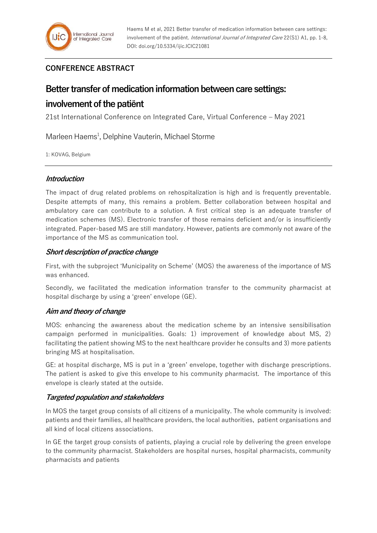# **CONFERENCE ABSTRACT**

# **Better transfer of medication information between care settings:**

# **involvement of the patiënt**

21st International Conference on Integrated Care, Virtual Conference – May 2021

Marleen Haems<sup>1</sup>, Delphine Vauterin, Michael Storme

1: KOVAG, Belgium

### **Introduction**

The impact of drug related problems on rehospitalization is high and is frequently preventable. Despite attempts of many, this remains a problem. Better collaboration between hospital and ambulatory care can contribute to a solution. A first critical step is an adequate transfer of medication schemes (MS). Electronic transfer of those remains deficient and/or is insufficiently integrated. Paper-based MS are still mandatory. However, patients are commonly not aware of the importance of the MS as communication tool.

### **Short description of practice change**

First, with the subproject 'Municipality on Scheme' (MOS) the awareness of the importance of MS was enhanced.

Secondly, we facilitated the medication information transfer to the community pharmacist at hospital discharge by using a 'green' envelope (GE).

## **Aim and theory of change**

MOS: enhancing the awareness about the medication scheme by an intensive sensibilisation campaign performed in municipalities. Goals: 1) improvement of knowledge about MS, 2) facilitating the patient showing MS to the next healthcare provider he consults and 3) more patients bringing MS at hospitalisation.

GE: at hospital discharge, MS is put in a 'green' envelope, together with discharge prescriptions. The patient is asked to give this envelope to his community pharmacist. The importance of this envelope is clearly stated at the outside.

## **Targeted population and stakeholders**

In MOS the target group consists of all citizens of a municipality. The whole community is involved: patients and their families, all healthcare providers, the local authorities, patient organisations and all kind of local citizens associations.

In GE the target group consists of patients, playing a crucial role by delivering the green envelope to the community pharmacist. Stakeholders are hospital nurses, hospital pharmacists, community pharmacists and patients